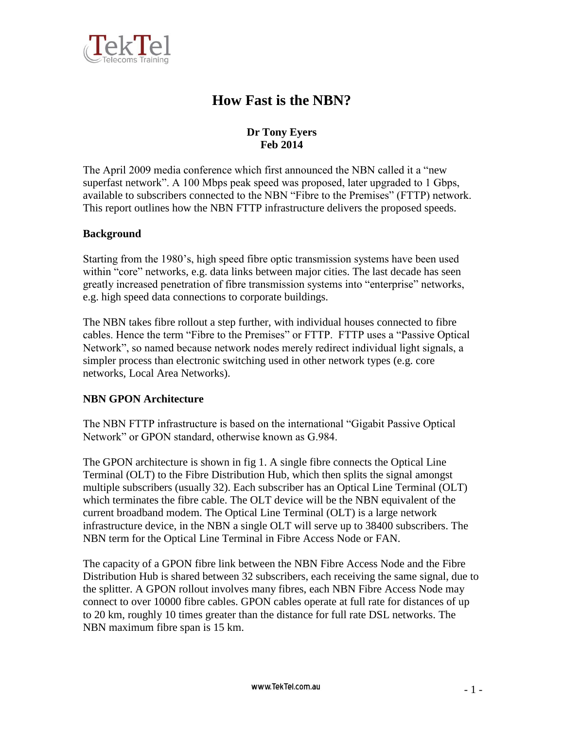

# **How Fast is the NBN?**

# **Dr Tony Eyers Feb 2014**

The April 2009 media conference which first announced the NBN called it a "new superfast network". A 100 Mbps peak speed was proposed, later upgraded to 1 Gbps, available to subscribers connected to the NBN "Fibre to the Premises" (FTTP) network. This report outlines how the NBN FTTP infrastructure delivers the proposed speeds.

### **Background**

Starting from the 1980's, high speed fibre optic transmission systems have been used within "core" networks, e.g. data links between major cities. The last decade has seen greatly increased penetration of fibre transmission systems into "enterprise" networks, e.g. high speed data connections to corporate buildings.

The NBN takes fibre rollout a step further, with individual houses connected to fibre cables. Hence the term "Fibre to the Premises" or FTTP. FTTP uses a "Passive Optical Network", so named because network nodes merely redirect individual light signals, a simpler process than electronic switching used in other network types (e.g. core networks, Local Area Networks).

#### **NBN GPON Architecture**

The NBN FTTP infrastructure is based on the international "Gigabit Passive Optical Network" or GPON standard, otherwise known as G.984.

The GPON architecture is shown in fig 1. A single fibre connects the Optical Line Terminal (OLT) to the Fibre Distribution Hub, which then splits the signal amongst multiple subscribers (usually 32). Each subscriber has an Optical Line Terminal (OLT) which terminates the fibre cable. The OLT device will be the NBN equivalent of the current broadband modem. The Optical Line Terminal (OLT) is a large network infrastructure device, in the NBN a single OLT will serve up to 38400 subscribers. The NBN term for the Optical Line Terminal in Fibre Access Node or FAN.

The capacity of a GPON fibre link between the NBN Fibre Access Node and the Fibre Distribution Hub is shared between 32 subscribers, each receiving the same signal, due to the splitter. A GPON rollout involves many fibres, each NBN Fibre Access Node may connect to over 10000 fibre cables. GPON cables operate at full rate for distances of up to 20 km, roughly 10 times greater than the distance for full rate DSL networks. The NBN maximum fibre span is 15 km.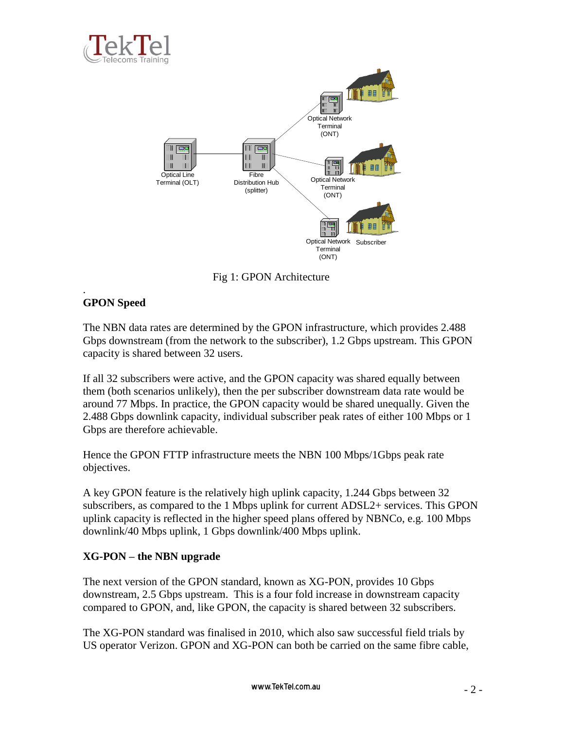



Fig 1: GPON Architecture

### . **GPON Speed**

The NBN data rates are determined by the GPON infrastructure, which provides 2.488 Gbps downstream (from the network to the subscriber), 1.2 Gbps upstream. This GPON capacity is shared between 32 users.

If all 32 subscribers were active, and the GPON capacity was shared equally between them (both scenarios unlikely), then the per subscriber downstream data rate would be around 77 Mbps. In practice, the GPON capacity would be shared unequally. Given the 2.488 Gbps downlink capacity, individual subscriber peak rates of either 100 Mbps or 1 Gbps are therefore achievable.

Hence the GPON FTTP infrastructure meets the NBN 100 Mbps/1Gbps peak rate objectives.

A key GPON feature is the relatively high uplink capacity, 1.244 Gbps between 32 subscribers, as compared to the 1 Mbps uplink for current ADSL2+ services. This GPON uplink capacity is reflected in the higher speed plans offered by NBNCo, e.g. 100 Mbps downlink/40 Mbps uplink, 1 Gbps downlink/400 Mbps uplink.

## **XG-PON – the NBN upgrade**

The next version of the GPON standard, known as XG-PON, provides 10 Gbps downstream, 2.5 Gbps upstream. This is a four fold increase in downstream capacity compared to GPON, and, like GPON, the capacity is shared between 32 subscribers.

The XG-PON standard was finalised in 2010, which also saw successful field trials by US operator Verizon. GPON and XG-PON can both be carried on the same fibre cable,